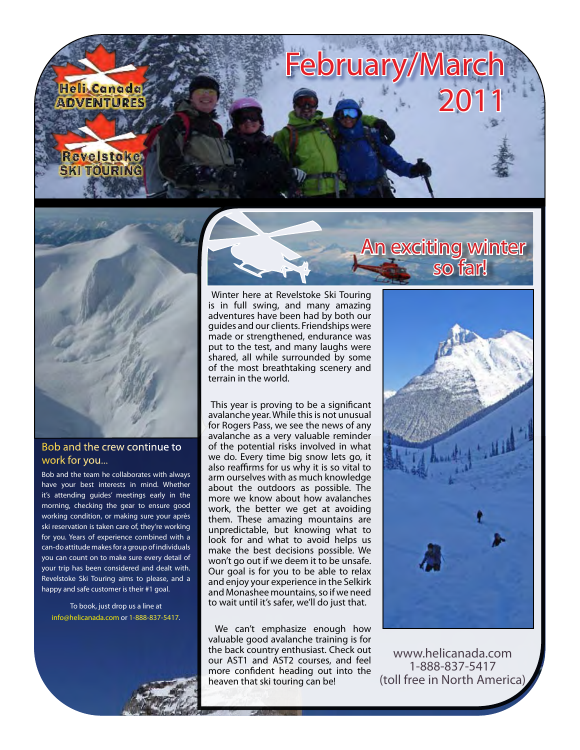



#### Bob and the crew continue to work for you...

Bob and the team he collaborates with always have your best interests in mind. Whether it's attending guides' meetings early in the morning, checking the gear to ensure good working condition, or making sure your après ski reservation is taken care of, they're working for you. Years of experience combined with a can-do attitude makes for a group of individuals you can count on to make sure every detail of your trip has been considered and dealt with. Revelstoke Ski Touring aims to please, and a happy and safe customer is their #1 goal.

To book, just drop us a line at [info@helicanada.com](mailto:info@helicanada.com) or 1-888-837-5417.

 Winter here at Revelstoke Ski Touring is in full swing, and many amazing adventures have been had by both our guides and our clients. Friendships were made or strengthened, endurance was put to the test, and many laughs were shared, all while surrounded by some of the most breathtaking scenery and terrain in the world.

 This year is proving to be a significant avalanche year. While this is not unusual for Rogers Pass, we see the news of any avalanche as a very valuable reminder of the potential risks involved in what we do. Every time big snow lets go, it also reaffirms for us why it is so vital to arm ourselves with as much knowledge about the outdoors as possible. The more we know about how avalanches work, the better we get at avoiding them. These amazing mountains are unpredictable, but knowing what to look for and what to avoid helps us make the best decisions possible. We won't go out if we deem it to be unsafe. Our goal is for you to be able to relax and enjoy your experience in the Selkirk and Monashee mountains, so if we need to wait until it's safer, we'll do just that.

 We can't emphasize enough how valuable good avalanche training is for the back country enthusiast. Check out our AST1 and AST2 courses, and feel more confident heading out into the heaven that ski touring can be!

# An exciting winter so far!



[www.helicanada.com](http://www.helicanada.com) 1-888-837-5417 (toll free in North America)